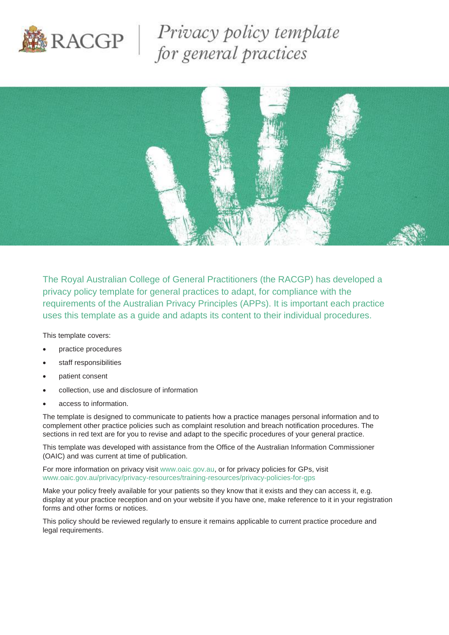

Privacy policy template<br>for general practices



The Royal Australian College of General Practitioners (the RACGP) has developed a privacy policy template for general practices to adapt, for compliance with the requirements of the Australian Privacy Principles (APPs). It is important each practice uses this template as a guide and adapts its content to their individual procedures.

This template covers:

- practice procedures
- staff responsibilities
- patient consent
- collection, use and disclosure of information
- access to information.

The template is designed to communicate to patients how a practice manages personal information and to complement other practice policies such as complaint resolution and breach notification procedures. The sections in red text are for you to revise and adapt to the specific procedures of your general practice.

This template was developed with assistance from the Office of the Australian Information Commissioner (OAIC) and was current at time of publication.

For more information on privacy visit [www.oaic.gov.au,](http://www.oaic.gov.au/) or for privacy policies for GPs, visit [www.oaic.gov.au/privacy/privacy-resources/training-resources/privacy-policies-for-gps](http://www.oaic.gov.au/privacy/privacy-resources/training-resources/privacy-policies-for-gps)

Make your policy freely available for your patients so they know that it exists and they can access it, e.g. display at your practice reception and on your website if you have one, make reference to it in your registration forms and other forms or notices.

This policy should be reviewed regularly to ensure it remains applicable to current practice procedure and legal requirements.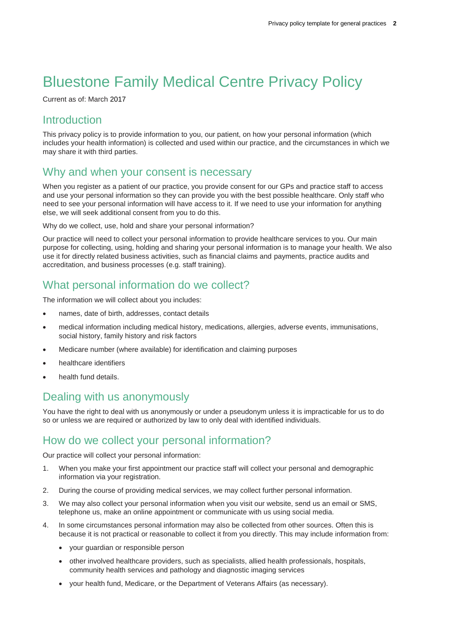# Bluestone Family Medical Centre Privacy Policy

Current as of: March 2017

#### **Introduction**

This privacy policy is to provide information to you, our patient, on how your personal information (which includes your health information) is collected and used within our practice, and the circumstances in which we may share it with third parties.

#### Why and when your consent is necessary

When you register as a patient of our practice, you provide consent for our GPs and practice staff to access and use your personal information so they can provide you with the best possible healthcare. Only staff who need to see your personal information will have access to it. If we need to use your information for anything else, we will seek additional consent from you to do this.

Why do we collect, use, hold and share your personal information?

Our practice will need to collect your personal information to provide healthcare services to you. Our main purpose for collecting, using, holding and sharing your personal information is to manage your health. We also use it for directly related business activities, such as financial claims and payments, practice audits and accreditation, and business processes (e.g. staff training).

# What personal information do we collect?

The information we will collect about you includes:

- names, date of birth, addresses, contact details
- medical information including medical history, medications, allergies, adverse events, immunisations, social history, family history and risk factors
- Medicare number (where available) for identification and claiming purposes
- healthcare identifiers
- health fund details.

# Dealing with us anonymously

You have the right to deal with us anonymously or under a pseudonym unless it is impracticable for us to do so or unless we are required or authorized by law to only deal with identified individuals.

# How do we collect your personal information?

Our practice will collect your personal information:

- 1. When you make your first appointment our practice staff will collect your personal and demographic information via your registration.
- 2. During the course of providing medical services, we may collect further personal information.
- 3. We may also collect your personal information when you visit our website, send us an email or SMS, telephone us, make an online appointment or communicate with us using social media.
- 4. In some circumstances personal information may also be collected from other sources. Often this is because it is not practical or reasonable to collect it from you directly. This may include information from:
	- your guardian or responsible person
	- other involved healthcare providers, such as specialists, allied health professionals, hospitals, community health services and pathology and diagnostic imaging services
	- your health fund, Medicare, or the Department of Veterans Affairs (as necessary).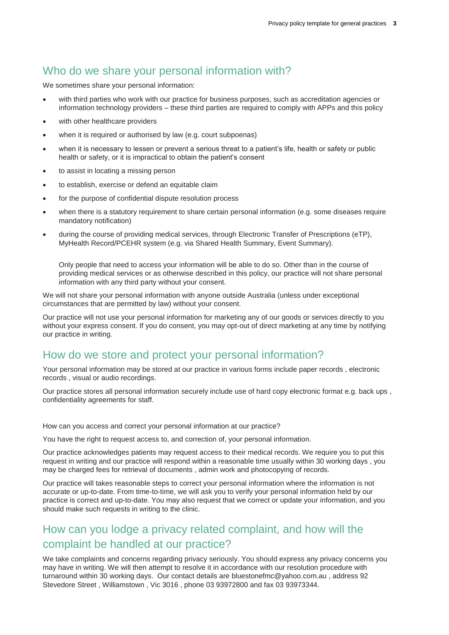#### Who do we share your personal information with?

We sometimes share your personal information:

- with third parties who work with our practice for business purposes, such as accreditation agencies or information technology providers – these third parties are required to comply with APPs and this policy
- with other healthcare providers
- when it is required or authorised by law (e.g. court subpoenas)
- when it is necessary to lessen or prevent a serious threat to a patient's life, health or safety or public health or safety, or it is impractical to obtain the patient's consent
- to assist in locating a missing person
- to establish, exercise or defend an equitable claim
- for the purpose of confidential dispute resolution process
- when there is a statutory requirement to share certain personal information (e.g. some diseases require mandatory notification)
- during the course of providing medical services, through Electronic Transfer of Prescriptions (eTP), MyHealth Record/PCEHR system (e.g. via Shared Health Summary, Event Summary).

Only people that need to access your information will be able to do so. Other than in the course of providing medical services or as otherwise described in this policy, our practice will not share personal information with any third party without your consent.

We will not share your personal information with anyone outside Australia (unless under exceptional circumstances that are permitted by law) without your consent.

Our practice will not use your personal information for marketing any of our goods or services directly to you without your express consent. If you do consent, you may opt-out of direct marketing at any time by notifying our practice in writing.

#### How do we store and protect your personal information?

Your personal information may be stored at our practice in various forms include paper records , electronic records , visual or audio recordings.

Our practice stores all personal information securely include use of hard copy electronic format e.g. back ups , confidentiality agreements for staff.

How can you access and correct your personal information at our practice?

You have the right to request access to, and correction of, your personal information.

Our practice acknowledges patients may request access to their medical records. We require you to put this request in writing and our practice will respond within a reasonable time usually within 30 working days , you may be charged fees for retrieval of documents , admin work and photocopying of records.

Our practice will takes reasonable steps to correct your personal information where the information is not accurate or up-to-date. From time-to-time, we will ask you to verify your personal information held by our practice is correct and up-to-date. You may also request that we correct or update your information, and you should make such requests in writing to the clinic.

# How can you lodge a privacy related complaint, and how will the complaint be handled at our practice?

We take complaints and concerns regarding privacy seriously. You should express any privacy concerns you may have in writing. We will then attempt to resolve it in accordance with our resolution procedure with turnaround within 30 working days. Our contact details are bluestonefmc@yahoo.com.au , address 92 Stevedore Street , Williamstown , Vic 3016 , phone 03 93972800 and fax 03 93973344.